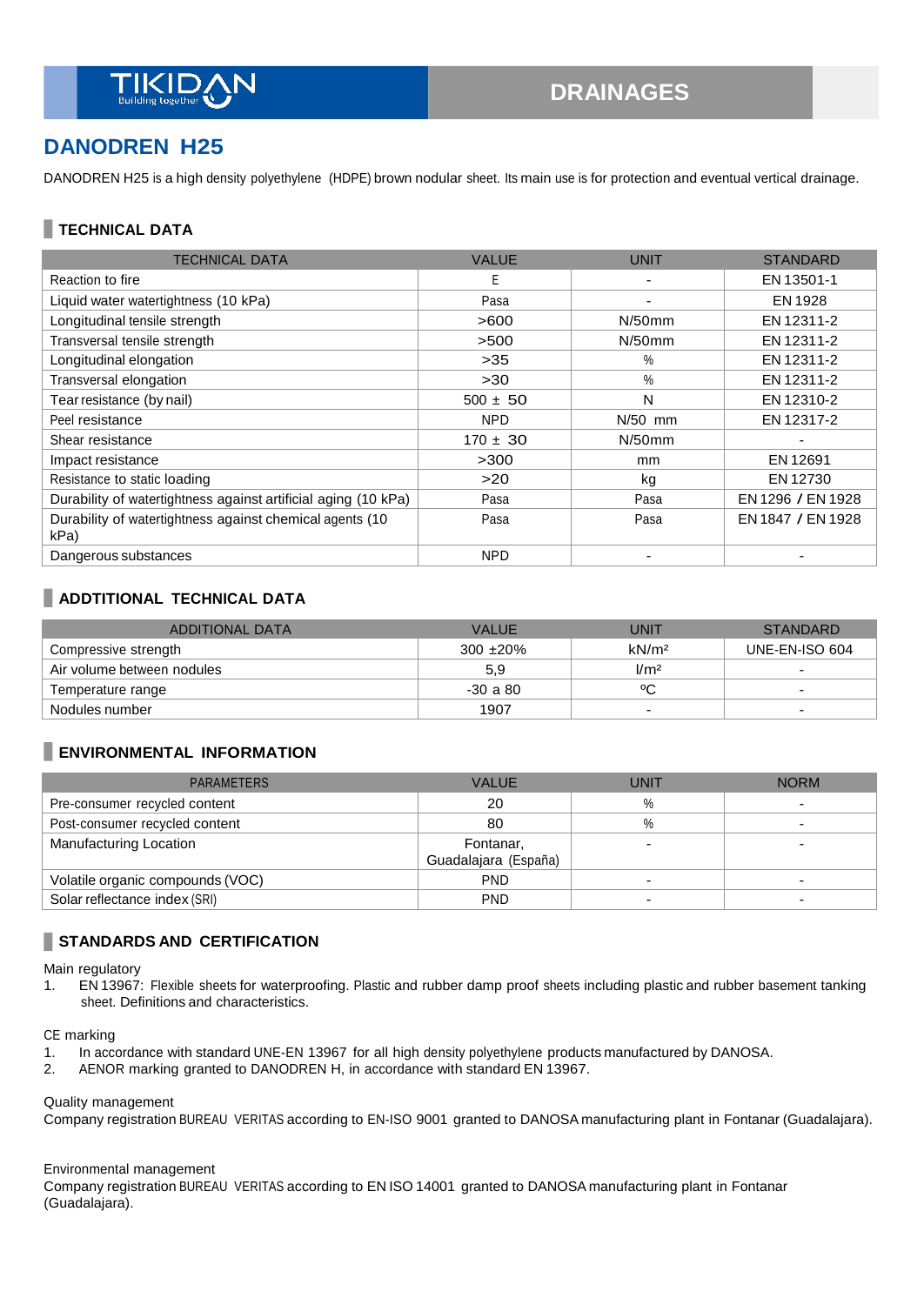

# **DANODREN H25**

DANODREN H25 is a high density polyethylene (HDPE) brown nodular sheet. Its main use is for protection and eventual vertical drainage.

### **TECHNICAL DATA**

| <b>TECHNICAL DATA</b>                                            | <b>VALUE</b> | <b>UNIT</b>   | <b>STANDARD</b>   |
|------------------------------------------------------------------|--------------|---------------|-------------------|
| Reaction to fire                                                 | E            |               | EN 13501-1        |
| Liquid water watertightness (10 kPa)                             | Pasa         |               | EN 1928           |
| Longitudinal tensile strength                                    | >600         | $N/50$ mm     | EN 12311-2        |
| Transversal tensile strength                                     | >500         | $N/50$ mm     | EN 12311-2        |
| Longitudinal elongation                                          | >35          | $\%$          | EN 12311-2        |
| Transversal elongation                                           | $>30$        | $\%$          | EN 12311-2        |
| Tear resistance (by nail)                                        | $500 \pm 50$ | N             | EN 12310-2        |
| Peel resistance                                                  | <b>NPD</b>   | $N/50$ mm     | EN 12317-2        |
| Shear resistance                                                 | $170 \pm 30$ | $N/50$ mm     | ٠                 |
| Impact resistance                                                | >300         | <sub>mm</sub> | EN 12691          |
| Resistance to static loading                                     | >20          | kg            | EN 12730          |
| Durability of watertightness against artificial aging (10 kPa)   | Pasa         | Pasa          | EN 1296 / EN 1928 |
| Durability of watertightness against chemical agents (10<br>kPa) | Pasa         | Pasa          | EN 1847 / EN 1928 |
| Dangerous substances                                             | <b>NPD</b>   |               |                   |

## **ADDTITIONAL TECHNICAL DATA**

| ADDITIONAL DATA            | <b>VALUE</b> | <b>UNIT</b>       | <b>STANDARD</b> |
|----------------------------|--------------|-------------------|-----------------|
| Compressive strength       | $300 + 20\%$ | kN/m <sup>2</sup> | UNE-EN-ISO 604  |
| Air volume between nodules | 5,9          | 1/m <sup>2</sup>  |                 |
| Temperature range          | $-30a80$     | °C                | -               |
| Nodules number             | 1907         | -                 | -               |

#### **ENVIRONMENTAL INFORMATION**

| <b>PARAMETERS</b>                | <b>VALUE</b>         | <b>UNIT</b>              | <b>NORM</b> |
|----------------------------------|----------------------|--------------------------|-------------|
| Pre-consumer recycled content    | 20                   | $\%$                     |             |
| Post-consumer recycled content   | 80                   | %                        |             |
| Manufacturing Location           | Fontanar,            |                          |             |
|                                  | Guadalajara (España) |                          |             |
| Volatile organic compounds (VOC) | <b>PND</b>           |                          |             |
| Solar reflectance index (SRI)    | <b>PND</b>           | $\overline{\phantom{0}}$ |             |

#### **STANDARDS AND CERTIFICATION**

Main regulatory

1. EN 13967: Flexible sheets for waterproofing. Plastic and rubber damp proof sheets including plastic and rubber basement tanking sheet. Definitions and characteristics.

CE marking

- 1. In accordance with standard UNE-EN 13967 for all high density polyethylene products manufactured by DANOSA.
- 2. AENOR marking granted to DANODREN H, in accordance with standard EN 13967.

Quality management

Company registration BUREAU VERITAS according to EN-ISO 9001 granted to DANOSA manufacturing plant in Fontanar (Guadalajara).

#### Environmental management

Company registration BUREAU VERITAS according to EN ISO 14001 granted to DANOSA manufacturing plant in Fontanar (Guadalajara).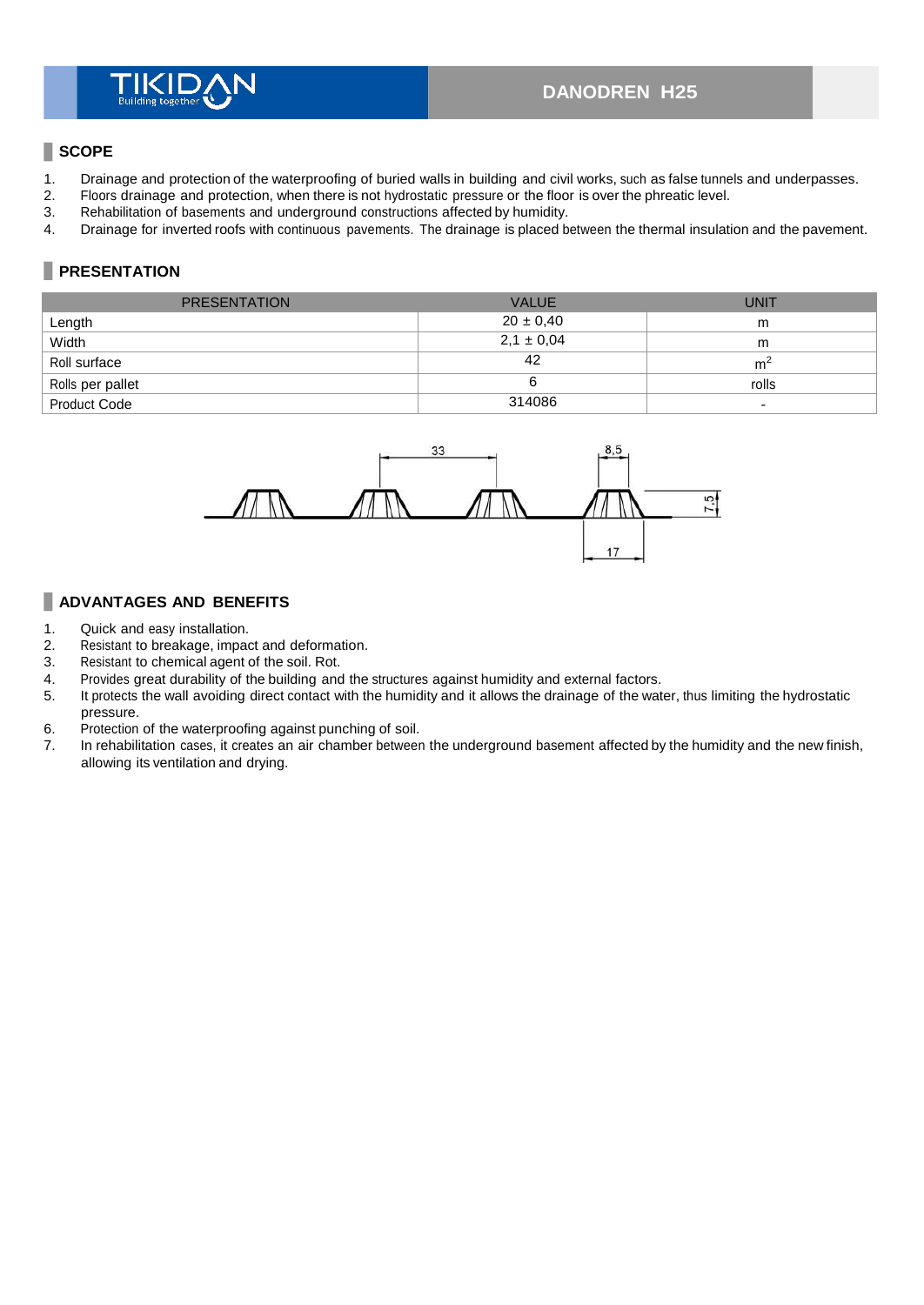#### **SCOPE**

- 1. Drainage and protection of the waterproofing of buried walls in building and civil works, such as false tunnels and underpasses.<br>2. Floors drainage and protection, when there is not hydrostatic pressure or the floor is
- 2. Floors drainage and protection, when there is not hydrostatic pressure or the floor is over the phreatic level.
- 3. Rehabilitation of basements and underground constructions affected by humidity.<br>4. Drainage for inverted roofs with continuous pavements. The drainage is placed b
- 4. Drainage for inverted roofs with continuous pavements. The drainage is placed between the thermal insulation and the pavement.

## **PRESENTATION**

| <b>PRESENTATION</b> | <b>VALUE</b>   | <b>UNIT</b>              |
|---------------------|----------------|--------------------------|
| Length              | $20 \pm 0.40$  | m                        |
| Width               | $2,1 \pm 0,04$ | m                        |
| Roll surface        | 42             | m <sup>2</sup>           |
| Rolls per pallet    |                | rolls                    |
| <b>Product Code</b> | 314086         | $\overline{\phantom{a}}$ |



#### **ADVANTAGES AND BENEFITS**

- 1. Quick and easy installation.
- 2. Resistant to breakage, impact and deformation.<br>3. Resistant to chemical agent of the soil. Rot.
- 3. Resistant to chemical agent of the soil. Rot.<br>4. Provides great durability of the building and
- Provides great durability of the building and the structures against humidity and external factors.
- 5. It protects the wall avoiding direct contact with the humidity and it allows the drainage of the water, thus limiting the hydrostatic
- pressure. 6. Protection of the waterproofing against punching of soil.
- 7. In rehabilitation cases, it creates an air chamber between the underground basement affected by the humidity and the new finish, allowing its ventilation and drying.